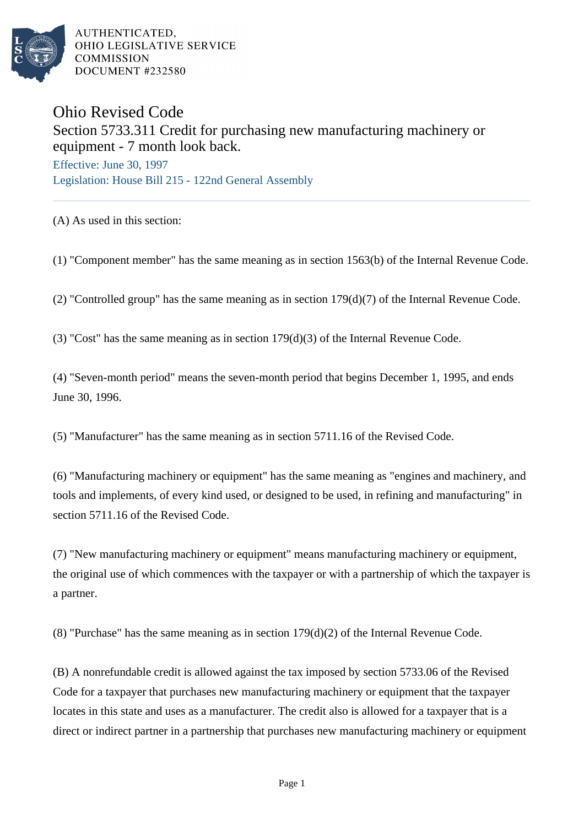

AUTHENTICATED. OHIO LEGISLATIVE SERVICE **COMMISSION** DOCUMENT #232580

## Ohio Revised Code Section 5733.311 Credit for purchasing new manufacturing machinery or equipment - 7 month look back.

Effective: June 30, 1997 Legislation: House Bill 215 - 122nd General Assembly

(A) As used in this section:

(1) "Component member" has the same meaning as in section 1563(b) of the Internal Revenue Code.

(2) "Controlled group" has the same meaning as in section 179(d)(7) of the Internal Revenue Code.

(3) "Cost" has the same meaning as in section 179(d)(3) of the Internal Revenue Code.

(4) "Seven-month period" means the seven-month period that begins December 1, 1995, and ends June 30, 1996.

(5) "Manufacturer" has the same meaning as in section 5711.16 of the Revised Code.

(6) "Manufacturing machinery or equipment" has the same meaning as "engines and machinery, and tools and implements, of every kind used, or designed to be used, in refining and manufacturing" in section 5711.16 of the Revised Code.

(7) "New manufacturing machinery or equipment" means manufacturing machinery or equipment, the original use of which commences with the taxpayer or with a partnership of which the taxpayer is a partner.

(8) "Purchase" has the same meaning as in section 179(d)(2) of the Internal Revenue Code.

(B) A nonrefundable credit is allowed against the tax imposed by section 5733.06 of the Revised Code for a taxpayer that purchases new manufacturing machinery or equipment that the taxpayer locates in this state and uses as a manufacturer. The credit also is allowed for a taxpayer that is a direct or indirect partner in a partnership that purchases new manufacturing machinery or equipment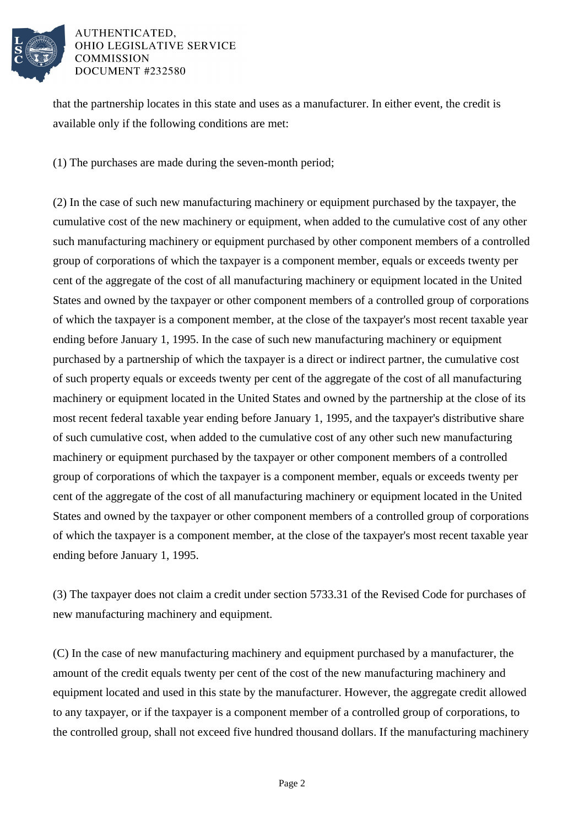

## AUTHENTICATED. **OHIO LEGISLATIVE SERVICE COMMISSION** DOCUMENT #232580

that the partnership locates in this state and uses as a manufacturer. In either event, the credit is available only if the following conditions are met:

(1) The purchases are made during the seven-month period;

(2) In the case of such new manufacturing machinery or equipment purchased by the taxpayer, the cumulative cost of the new machinery or equipment, when added to the cumulative cost of any other such manufacturing machinery or equipment purchased by other component members of a controlled group of corporations of which the taxpayer is a component member, equals or exceeds twenty per cent of the aggregate of the cost of all manufacturing machinery or equipment located in the United States and owned by the taxpayer or other component members of a controlled group of corporations of which the taxpayer is a component member, at the close of the taxpayer's most recent taxable year ending before January 1, 1995. In the case of such new manufacturing machinery or equipment purchased by a partnership of which the taxpayer is a direct or indirect partner, the cumulative cost of such property equals or exceeds twenty per cent of the aggregate of the cost of all manufacturing machinery or equipment located in the United States and owned by the partnership at the close of its most recent federal taxable year ending before January 1, 1995, and the taxpayer's distributive share of such cumulative cost, when added to the cumulative cost of any other such new manufacturing machinery or equipment purchased by the taxpayer or other component members of a controlled group of corporations of which the taxpayer is a component member, equals or exceeds twenty per cent of the aggregate of the cost of all manufacturing machinery or equipment located in the United States and owned by the taxpayer or other component members of a controlled group of corporations of which the taxpayer is a component member, at the close of the taxpayer's most recent taxable year ending before January 1, 1995.

(3) The taxpayer does not claim a credit under section 5733.31 of the Revised Code for purchases of new manufacturing machinery and equipment.

(C) In the case of new manufacturing machinery and equipment purchased by a manufacturer, the amount of the credit equals twenty per cent of the cost of the new manufacturing machinery and equipment located and used in this state by the manufacturer. However, the aggregate credit allowed to any taxpayer, or if the taxpayer is a component member of a controlled group of corporations, to the controlled group, shall not exceed five hundred thousand dollars. If the manufacturing machinery